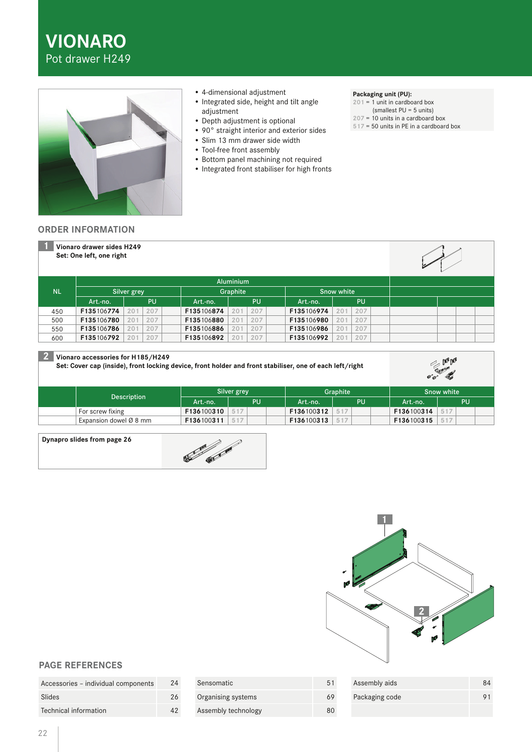



- 4-dimensional adjustment
- Integrated side, height and tilt angle adjustment
- Depth adjustment is optional
- 90° straight interior and exterior sides
- Slim 13 mm drawer side width
- Tool-free front assembly
- Bottom panel machining not required
- Integrated front stabiliser for high fronts

#### **Packaging unit (PU):**

**201** = 1 unit in cardboard box (smallest PU = 5 units)

- **207** = 10 units in a cardboard box
- **517** = 50 units in PE in a cardboard box

### **ORDER INFORMATION**

|           | Vionaro drawer sides H249<br>Set: One left, one right |            |            |                        |            |            |  |
|-----------|-------------------------------------------------------|------------|------------|------------------------|------------|------------|--|
|           |                                                       |            |            | <b>Aluminium</b>       |            |            |  |
| <b>NL</b> | Silver grey                                           |            | Graphite   |                        | Snow white |            |  |
|           | Art.-no.                                              | PU         | Art.-no.   | <b>PU</b>              | Art.-no.   | PU         |  |
| 450       | F135106774                                            | 207<br>201 | F135106874 | 207<br>201             | F135106974 | 207<br>201 |  |
| 500       | F135106780                                            | 207<br>201 | F135106880 | 207<br>201             | F135106980 | 207<br>201 |  |
| 550       | F135106786                                            | 207<br>201 | F135106886 | 207<br>201             | F135106986 | 207<br>201 |  |
| 600       | F135106792                                            | 207<br>201 | F135106892 | 20 <sup>1</sup><br>207 | F135106992 | 207<br>201 |  |

## **2 Vionaro accessories for H185/H249**

**Set: Cover cap (inside), front locking device, front holder and front stabiliser, one of each left/right**

|                                    | Silver grey |    |  | Graphite |            |     | Snow white |            |  |  |  |
|------------------------------------|-------------|----|--|----------|------------|-----|------------|------------|--|--|--|
| <b>Description</b>                 | Art.-no.    | PU |  | Art.-no. | PU         |     | Art.-no.   | PU         |  |  |  |
| For screw fixing                   | F136100310  |    |  |          | F136100312 | 517 |            | F136100314 |  |  |  |
| Expansion dowel $\varnothing$ 8 mm | F136100311  |    |  |          | F136100313 | 517 |            | F136100315 |  |  |  |

### **Dynapro slides from page 26**





Assembly aids 84 Packaging code 91

# **PAGE REFERENCES**

| Accessories - individual components | 24 |
|-------------------------------------|----|
| Slides                              | 26 |
| Technical information               | 42 |

| Sensomatic          | 51 |
|---------------------|----|
| Organising systems  |    |
| Assembly technology |    |